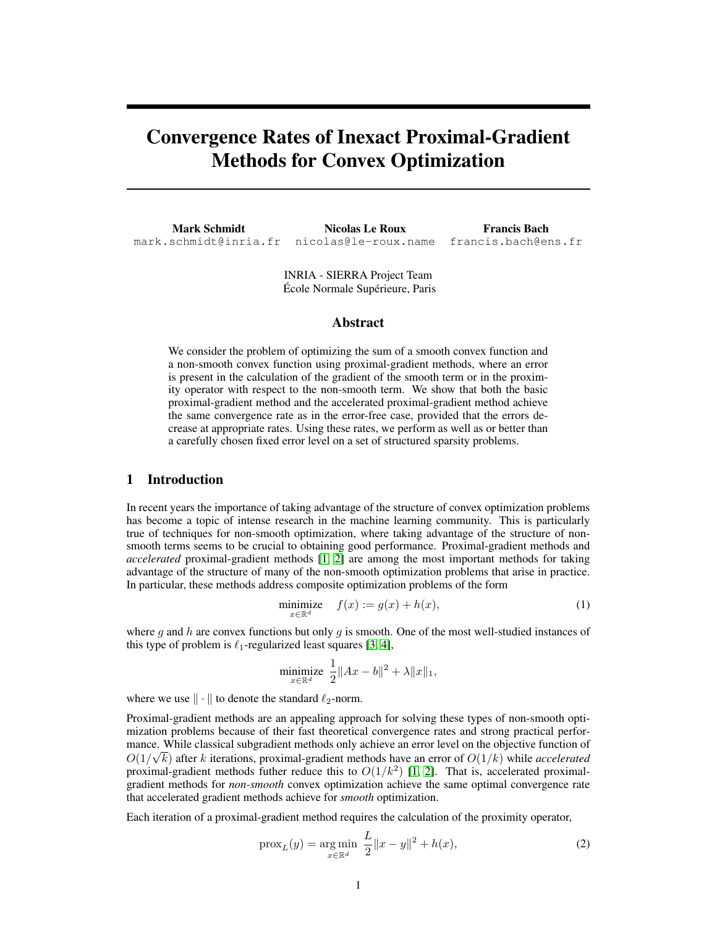# Convergence Rates of Inexact Proximal-Gradient Methods for Convex Optimization

Mark Schmidt mark.schmidt@inria.fr Nicolas Le Roux nicolas@le-roux.name

Francis Bach francis.bach@ens.fr

École Normale Supérieure, Paris INRIA - SIERRA Project Team

#### Abstract

We consider the problem of optimizing the sum of a smooth convex function and a non-smooth convex function using proximal-gradient methods, where an error is present in the calculation of the gradient of the smooth term or in the proximity operator with respect to the non-smooth term. We show that both the basic proximal-gradient method and the accelerated proximal-gradient method achieve the same convergence rate as in the error-free case, provided that the errors decrease at appropriate rates. Using these rates, we perform as well as or better than a carefully chosen fixed error level on a set of structured sparsity problems.

## 1 Introduction

In recent years the importance of taking advantage of the structure of convex optimization problems has become a topic of intense research in the machine learning community. This is particularly true of techniques for non-smooth optimization, where taking advantage of the structure of nonsmooth terms seems to be crucial to obtaining good performance. Proximal-gradient methods and *accelerated* proximal-gradient methods [1, 2] are among the most important methods for taking advantage of the structure of many of the non-smooth optimization problems that arise in practice. In particular, these methods address composite optimization problems of the form

$$
\underset{x \in \mathbb{R}^d}{\text{minimize}} \quad f(x) := g(x) + h(x),\tag{1}
$$

where  $g$  and  $h$  are convex functions but only  $g$  is smooth. One of the most well-studied instances of this type of problem is  $\ell_1$ -regularized least squares [3, 4],

minimize 
$$
\frac{1}{2} ||Ax - b||^2 + \lambda ||x||_1
$$
,

where we use  $\|\cdot\|$  to denote the standard  $\ell_2$ -norm.

Proximal-gradient methods are an appealing approach for solving these types of non-smooth optimization problems because of their fast theoretical convergence rates and strong practical performance. While classical subgradient methods only achieve an error level on the objective function of  $O(1/\sqrt{k})$  after k iterations, proximal-gradient methods have an error of  $O(1/k)$  while *accelerated* proximal-gradient methods futher reduce this to  $O(1/k^2)$  [1, 2]. That is, accelerated proximalgradient methods for *non-smooth* convex optimization achieve the same optimal convergence rate that accelerated gradient methods achieve for *smooth* optimization.

Each iteration of a proximal-gradient method requires the calculation of the proximity operator,

$$
\text{prox}_{L}(y) = \underset{x \in \mathbb{R}^d}{\text{arg min}} \ \frac{L}{2} \|x - y\|^2 + h(x),\tag{2}
$$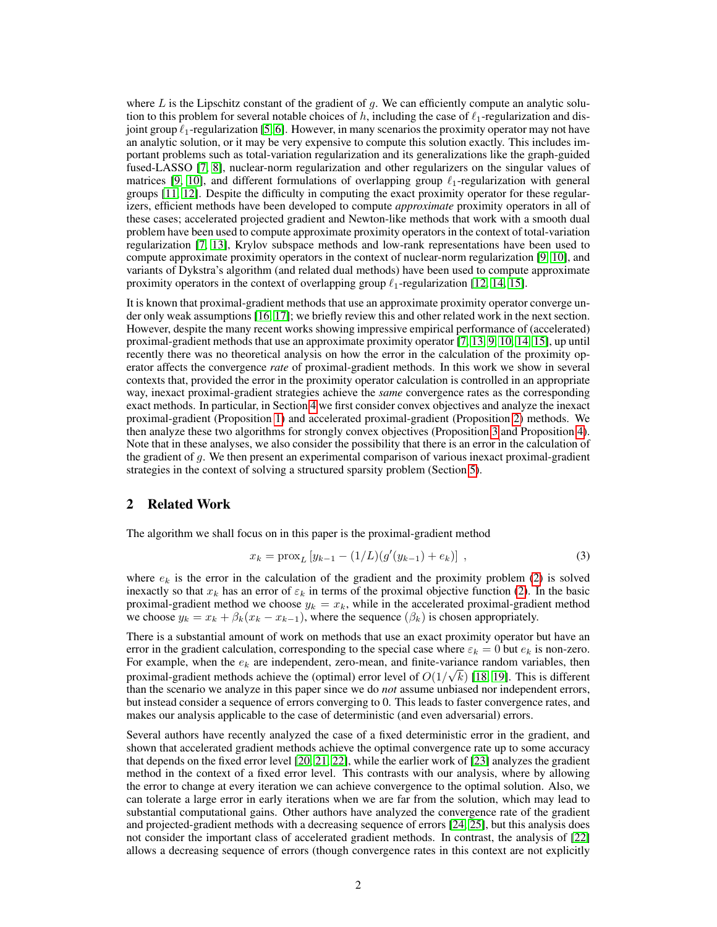where  $L$  is the Lipschitz constant of the gradient of  $q$ . We can efficiently compute an analytic solution to this problem for several notable choices of h, including the case of  $\ell_1$ -regularization and disjoint group  $\ell_1$ -regularization [5, 6]. However, in many scenarios the proximity operator may not have an analytic solution, or it may be very expensive to compute this solution exactly. This includes important problems such as total-variation regularization and its generalizations like the graph-guided fused-LASSO [7, 8], nuclear-norm regularization and other regularizers on the singular values of matrices [9, 10], and different formulations of overlapping group  $\ell_1$ -regularization with general groups [11, 12]. Despite the difficulty in computing the exact proximity operator for these regularizers, efficient methods have been developed to compute *approximate* proximity operators in all of these cases; accelerated projected gradient and Newton-like methods that work with a smooth dual problem have been used to compute approximate proximity operators in the context of total-variation regularization [7, 13], Krylov subspace methods and low-rank representations have been used to compute approximate proximity operators in the context of nuclear-norm regularization [9, 10], and variants of Dykstra's algorithm (and related dual methods) have been used to compute approximate proximity operators in the context of overlapping group  $\ell_1$ -regularization [12, 14, 15].

It is known that proximal-gradient methods that use an approximate proximity operator converge under only weak assumptions [16, 17]; we briefly review this and other related work in the next section. However, despite the many recent works showing impressive empirical performance of (accelerated) proximal-gradient methods that use an approximate proximity operator [7, 13, 9, 10, 14, 15], up until recently there was no theoretical analysis on how the error in the calculation of the proximity operator affects the convergence *rate* of proximal-gradient methods. In this work we show in several contexts that, provided the error in the proximity operator calculation is controlled in an appropriate way, inexact proximal-gradient strategies achieve the *same* convergence rates as the corresponding exact methods. In particular, in Section 4 we first consider convex objectives and analyze the inexact proximal-gradient (Proposition 1) and accelerated proximal-gradient (Proposition 2) methods. We then analyze these two algorithms for strongly convex objectives (Proposition 3 and Proposition 4). Note that in these analyses, we also consider the possibility that there is an error in the calculation of the gradient of  $g$ . We then present an experimental comparison of various inexact proximal-gradient strategies in the context of solving a structured sparsity problem (Section 5).

# 2 Related Work

The algorithm we shall focus on in this paper is the proximal-gradient method

$$
x_k = \text{prox}_{L} \left[ y_{k-1} - (1/L)(g'(y_{k-1}) + e_k) \right] , \qquad (3)
$$

where  $e_k$  is the error in the calculation of the gradient and the proximity problem (2) is solved inexactly so that  $x_k$  has an error of  $\varepsilon_k$  in terms of the proximal objective function (2). In the basic proximal-gradient method we choose  $y_k = x_k$ , while in the accelerated proximal-gradient method we choose  $y_k = x_k + \beta_k(x_k - x_{k-1})$ , where the sequence  $(\beta_k)$  is chosen appropriately.

There is a substantial amount of work on methods that use an exact proximity operator but have an error in the gradient calculation, corresponding to the special case where  $\varepsilon_k = 0$  but  $e_k$  is non-zero. For example, when the  $e_k$  are independent, zero-mean, and finite-variance random variables, then proximal-gradient methods achieve the (optimal) error level of  $O(1/\sqrt{k})$  [18, 19]. This is different than the scenario we analyze in this paper since we do *not* assume unbiased nor independent errors, but instead consider a sequence of errors converging to 0. This leads to faster convergence rates, and makes our analysis applicable to the case of deterministic (and even adversarial) errors.

Several authors have recently analyzed the case of a fixed deterministic error in the gradient, and shown that accelerated gradient methods achieve the optimal convergence rate up to some accuracy that depends on the fixed error level [20, 21, 22], while the earlier work of [23] analyzes the gradient method in the context of a fixed error level. This contrasts with our analysis, where by allowing the error to change at every iteration we can achieve convergence to the optimal solution. Also, we can tolerate a large error in early iterations when we are far from the solution, which may lead to substantial computational gains. Other authors have analyzed the convergence rate of the gradient and projected-gradient methods with a decreasing sequence of errors [24, 25], but this analysis does not consider the important class of accelerated gradient methods. In contrast, the analysis of [22] allows a decreasing sequence of errors (though convergence rates in this context are not explicitly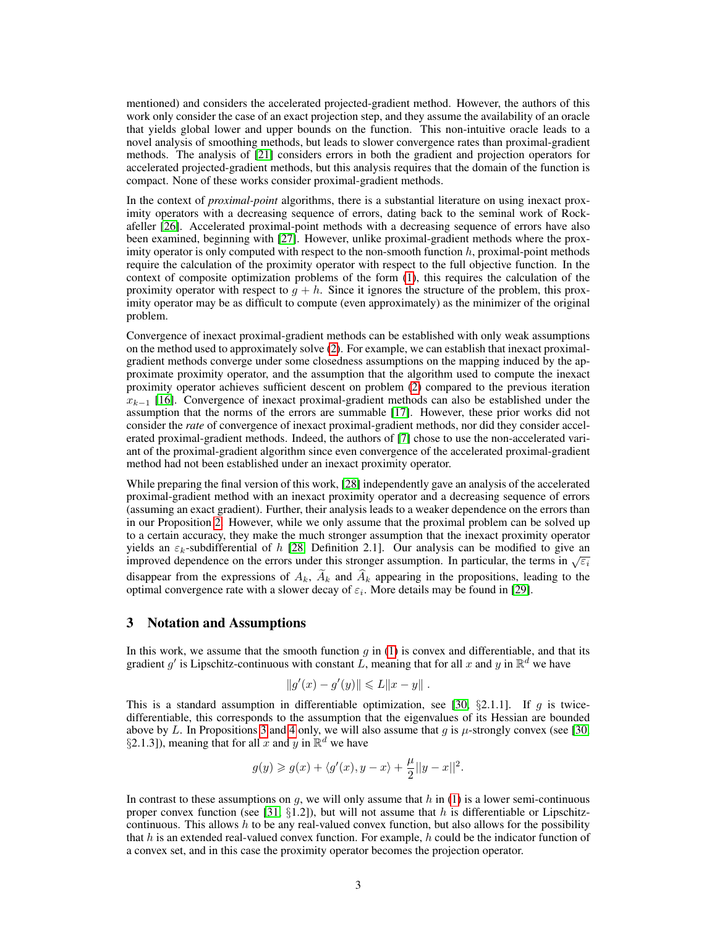mentioned) and considers the accelerated projected-gradient method. However, the authors of this work only consider the case of an exact projection step, and they assume the availability of an oracle that yields global lower and upper bounds on the function. This non-intuitive oracle leads to a novel analysis of smoothing methods, but leads to slower convergence rates than proximal-gradient methods. The analysis of [21] considers errors in both the gradient and projection operators for accelerated projected-gradient methods, but this analysis requires that the domain of the function is compact. None of these works consider proximal-gradient methods.

In the context of *proximal-point* algorithms, there is a substantial literature on using inexact proximity operators with a decreasing sequence of errors, dating back to the seminal work of Rockafeller [26]. Accelerated proximal-point methods with a decreasing sequence of errors have also been examined, beginning with [27]. However, unlike proximal-gradient methods where the proximity operator is only computed with respect to the non-smooth function  $h$ , proximal-point methods require the calculation of the proximity operator with respect to the full objective function. In the context of composite optimization problems of the form (1), this requires the calculation of the proximity operator with respect to  $g + h$ . Since it ignores the structure of the problem, this proximity operator may be as difficult to compute (even approximately) as the minimizer of the original problem.

Convergence of inexact proximal-gradient methods can be established with only weak assumptions on the method used to approximately solve (2). For example, we can establish that inexact proximalgradient methods converge under some closedness assumptions on the mapping induced by the approximate proximity operator, and the assumption that the algorithm used to compute the inexact proximity operator achieves sufficient descent on problem (2) compared to the previous iteration  $x_{k-1}$  [16]. Convergence of inexact proximal-gradient methods can also be established under the assumption that the norms of the errors are summable [17]. However, these prior works did not consider the *rate* of convergence of inexact proximal-gradient methods, nor did they consider accelerated proximal-gradient methods. Indeed, the authors of [7] chose to use the non-accelerated variant of the proximal-gradient algorithm since even convergence of the accelerated proximal-gradient method had not been established under an inexact proximity operator.

While preparing the final version of this work, [28] independently gave an analysis of the accelerated proximal-gradient method with an inexact proximity operator and a decreasing sequence of errors (assuming an exact gradient). Further, their analysis leads to a weaker dependence on the errors than in our Proposition 2. However, while we only assume that the proximal problem can be solved up to a certain accuracy, they make the much stronger assumption that the inexact proximity operator yields an  $\varepsilon_k$ -subdifferential of h [28, Definition 2.1]. Our analysis can be modified to give an improved dependence on the errors under this stronger assumption. In particular, the terms in  $\sqrt{\varepsilon_i}$ disappear from the expressions of  $A_k$ ,  $\widetilde{A}_k$  and  $\widehat{A}_k$  appearing in the propositions, leading to the optimal convergence rate with a slower decay of  $\varepsilon_i$ . More details may be found in [29].

#### 3 Notation and Assumptions

In this work, we assume that the smooth function  $g$  in (1) is convex and differentiable, and that its gradient g' is Lipschitz-continuous with constant L, meaning that for all x and y in  $\mathbb{R}^d$  we have

$$
||g'(x) - g'(y)|| \leq L||x - y||.
$$

This is a standard assumption in differentiable optimization, see [30,  $\S 2.1.1$ ]. If g is twicedifferentiable, this corresponds to the assumption that the eigenvalues of its Hessian are bounded above by L. In Propositions 3 and 4 only, we will also assume that q is  $\mu$ -strongly convex (see [30, §2.1.3]), meaning that for all x and y in  $\mathbb{R}^d$  we have

$$
g(y) \ge g(x) + \langle g'(x), y - x \rangle + \frac{\mu}{2} ||y - x||^2.
$$

In contrast to these assumptions on  $q$ , we will only assume that  $h$  in (1) is a lower semi-continuous proper convex function (see [31,  $\S1.2$ ]), but will not assume that h is differentiable or Lipschitzcontinuous. This allows  $h$  to be any real-valued convex function, but also allows for the possibility that h is an extended real-valued convex function. For example, h could be the indicator function of a convex set, and in this case the proximity operator becomes the projection operator.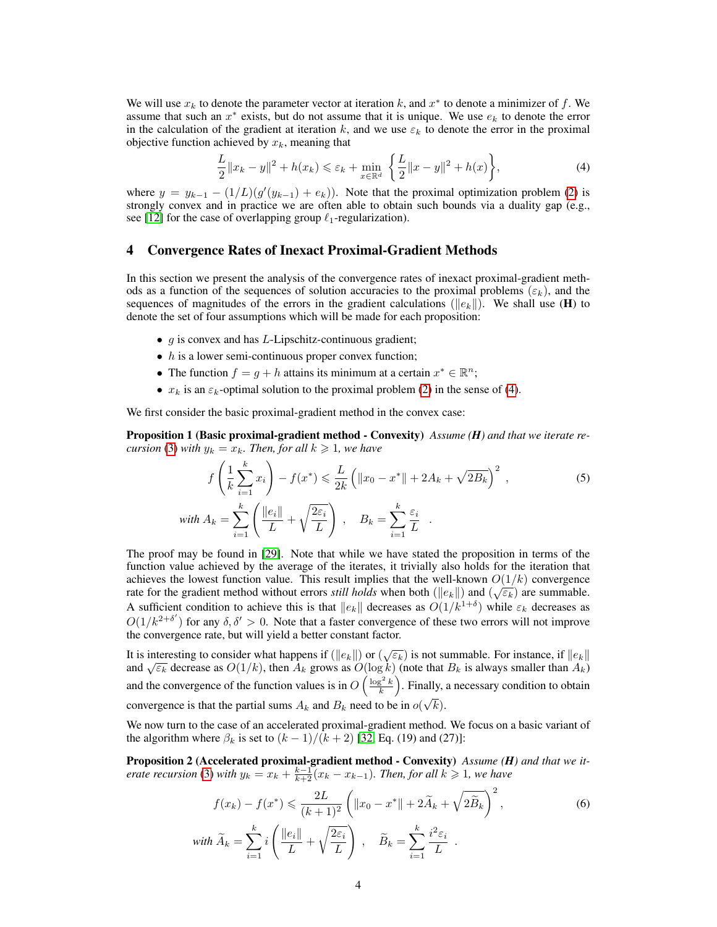We will use  $x_k$  to denote the parameter vector at iteration k, and  $x^*$  to denote a minimizer of f. We assume that such an  $x^*$  exists, but do not assume that it is unique. We use  $e_k$  to denote the error in the calculation of the gradient at iteration k, and we use  $\varepsilon_k$  to denote the error in the proximal objective function achieved by  $x_k$ , meaning that

$$
\frac{L}{2} \|x_k - y\|^2 + h(x_k) \le \varepsilon_k + \min_{x \in \mathbb{R}^d} \left\{ \frac{L}{2} \|x - y\|^2 + h(x) \right\},\tag{4}
$$

where  $y = y_{k-1} - (1/L)(g'(y_{k-1}) + e_k)$ . Note that the proximal optimization problem (2) is strongly convex and in practice we are often able to obtain such bounds via a duality gap (e.g., see [12] for the case of overlapping group  $\ell_1$ -regularization).

### 4 Convergence Rates of Inexact Proximal-Gradient Methods

In this section we present the analysis of the convergence rates of inexact proximal-gradient methods as a function of the sequences of solution accuracies to the proximal problems  $(\varepsilon_k)$ , and the sequences of magnitudes of the errors in the gradient calculations ( $||e_k||$ ). We shall use (H) to denote the set of four assumptions which will be made for each proposition:

- $g$  is convex and has  $L$ -Lipschitz-continuous gradient;
- $\bullet$  h is a lower semi-continuous proper convex function;
- The function  $f = g + h$  attains its minimum at a certain  $x^* \in \mathbb{R}^n$ ;
- $x_k$  is an  $\varepsilon_k$ -optimal solution to the proximal problem (2) in the sense of (4).

We first consider the basic proximal-gradient method in the convex case:

Proposition 1 (Basic proximal-gradient method - Convexity) *Assume (H) and that we iterate recursion* (3) *with*  $y_k = x_k$ *. Then, for all*  $k \ge 1$ *, we have* 

$$
f\left(\frac{1}{k}\sum_{i=1}^{k}x_{i}\right) - f(x^{*}) \leqslant \frac{L}{2k}\left(\|x_{0} - x^{*}\| + 2A_{k} + \sqrt{2B_{k}}\right)^{2},
$$
\n(5)

\n
$$
\text{with } A_{k} = \sum_{i=1}^{k}\left(\frac{\|e_{i}\|}{L} + \sqrt{\frac{2\varepsilon_{i}}{L}}\right), \quad B_{k} = \sum_{i=1}^{k}\frac{\varepsilon_{i}}{L}.
$$

The proof may be found in [29]. Note that while we have stated the proposition in terms of the function value achieved by the average of the iterates, it trivially also holds for the iteration that achieves the lowest function value. This result implies that the well-known  $O(1/k)$  convergence rate for the gradient method without errors *still holds* when both ( $||e_k||$ ) and ( $\sqrt{\varepsilon_k}$ ) are summable. A sufficient condition to achieve this is that  $||e_k||$  decreases as  $O(1/k^{1+\delta})$  while  $\varepsilon_k$  decreases as  $O(1/k^{2+\delta'})$  for any  $\delta, \delta' > 0$ . Note that a faster convergence of these two errors will not improve the convergence rate, but will yield a better constant factor.

It is interesting to consider what happens if  $(\|e_k\|)$  or  $(\sqrt{\varepsilon_k})$  is not summable. For instance, if  $\|e_k\|$ and  $\sqrt{\varepsilon_k}$  decrease as  $O(1/k)$ , then  $A_k$  grows as  $O(\log k)$  (note that  $B_k$  is always smaller than  $A_k$ ) and  $\sqrt{\varepsilon_k}$  decrease as  $O(1/k)$ , then  $A_k$  grows as  $O(\log k)$  (note that  $B_k$  is always smaller than  $A_k$ ) and the convergence of the function values is in  $O\left(\frac{\log^2 k}{k}\right)$ . Finally, a necessary condition to obtain convergence is that the partial sums  $A_k$  and  $B_k$  need to be in  $o(\sqrt{k})$ .

We now turn to the case of an accelerated proximal-gradient method. We focus on a basic variant of the algorithm where  $\beta_k$  is set to  $(k-1)/(k+2)$  [32, Eq. (19) and (27)]:

Proposition 2 (Accelerated proximal-gradient method - Convexity) *Assume (H) and that we iterate recursion* (3) *with*  $y_k = x_k + \frac{k-1}{k+2}(x_k - x_{k-1})$ *. Then, for all*  $k \ge 1$ *, we have* 

$$
f(x_k) - f(x^*) \leqslant \frac{2L}{(k+1)^2} \left( \|x_0 - x^*\| + 2\widetilde{A}_k + \sqrt{2\widetilde{B}_k} \right)^2,
$$
\n
$$
\text{with } \widetilde{A}_k = \sum_{i=1}^k i \left( \frac{\|e_i\|}{L} + \sqrt{\frac{2\varepsilon_i}{L}} \right), \quad \widetilde{B}_k = \sum_{i=1}^k \frac{i^2 \varepsilon_i}{L}.
$$
\n
$$
\tag{6}
$$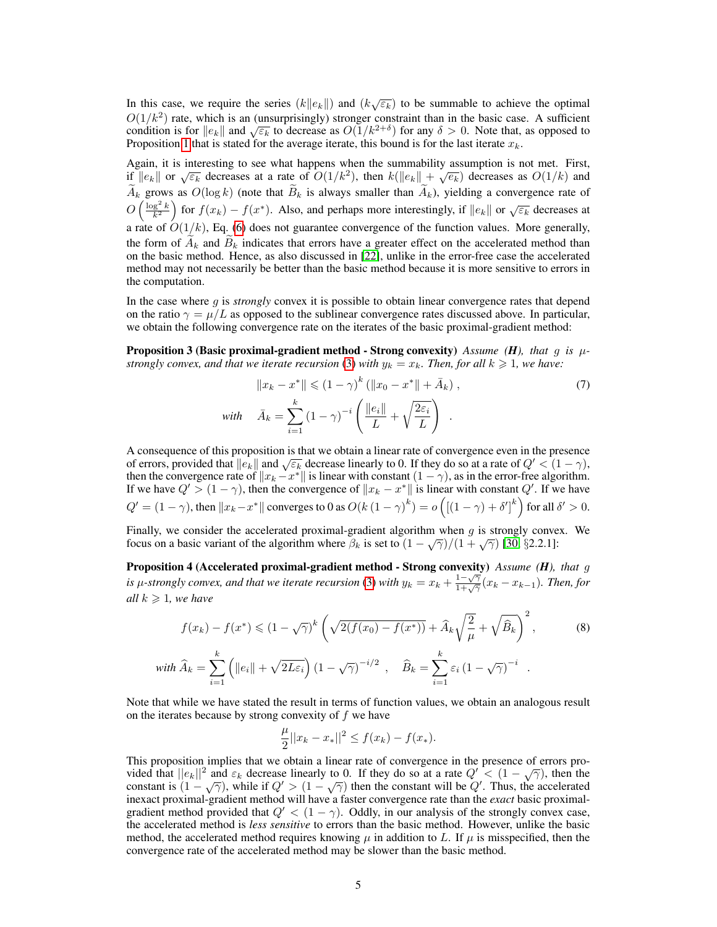In this case, we require the series  $(k||e_k||)$  and  $(k\sqrt{\varepsilon_k})$  to be summable to achieve the optimal  $O(1/k^2)$  rate, which is an (unsurprisingly) stronger constraint than in the basic case. A sufficient  $C(1/\kappa)$  rate, which is an (unsurprisingly) stronger constraint than in the basic case. A sufficient condition is for  $||e_k||$  and  $\sqrt{\varepsilon_k}$  to decrease as  $O(1/k^{2+\delta})$  for any  $\delta > 0$ . Note that, as opposed to Proposition 1 that is stated for the average iterate, this bound is for the last iterate  $x_k$ .

Again, it is interesting to see what happens when the summability assumption is not met. First, Equal to the end of the sum analysis when the summability assumption is not met. First,  $||e_k||$  or  $\sqrt{\varepsilon_k}$  decreases at a rate of  $O(1/k^2)$ , then  $k(||e_k|| + \sqrt{e_k})$  decreases as  $O(1/k)$  and  $\widetilde{A}_k$  grows as  $O(\log k)$  (note that  $\widetilde{B}_k$  is always smaller than  $\widetilde{A}_k$ ), yielding a convergence rate of  $O\left(\frac{\log^2 k}{k^2}\right)$  for  $f(x_k) - f(x^*)$ . Also, and perhaps more interestingly, if  $||e_k||$  or  $\sqrt{\varepsilon_k}$  decreases at a rate of  $O(1/k)$ , Eq. (6) does not guarantee convergence of the function values. More generally, the form of  $A_k$  and  $B_k$  indicates that errors have a greater effect on the accelerated method than on the basic method. Hence, as also discussed in [22], unlike in the error-free case the accelerated method may not necessarily be better than the basic method because it is more sensitive to errors in the computation.

In the case where g is *strongly* convex it is possible to obtain linear convergence rates that depend on the ratio  $\gamma = \mu/L$  as opposed to the sublinear convergence rates discussed above. In particular, we obtain the following convergence rate on the iterates of the basic proximal-gradient method:

**Proposition 3 (Basic proximal-gradient method - Strong convexity)** Assume (*H*), that g is  $\mu$ *strongly convex, and that we iterate recursion* (3) *with*  $y_k = x_k$ *. Then, for all*  $k \ge 1$ *, we have:* 

$$
||x_k - x^*|| \le (1 - \gamma)^k (||x_0 - x^*|| + \bar{A}_k),
$$
  
\nwith 
$$
\bar{A}_k = \sum_{i=1}^k (1 - \gamma)^{-i} \left( \frac{||e_i||}{L} + \sqrt{\frac{2\varepsilon_i}{L}} \right).
$$
 (7)

A consequence of this proposition is that we obtain a linear rate of convergence even in the presence A consequence of this proposition is that we obtain a linear rate of convergence even in the presence of errors, provided that  $||e_k||$  and  $\sqrt{\varepsilon_k}$  decrease linearly to 0. If they do so at a rate of  $Q' < (1 - \gamma)$ , then the convergence rate of  $||x_k - x^*||$  is linear with constant  $(1 - \gamma)$ , as in the error-free algorithm. If we have  $Q' > (1 - \gamma)$ , then the convergence of  $||x_k - x^*||$  is linear with constant  $Q'$ . If we have  $Q' = (1 - \gamma)$ , then  $||x_k - x^*||$  converges to 0 as  $O(k(1 - \gamma)^k) = o\left(\left[(1 - \gamma) + \delta'\right]^k\right)$  for all  $\delta' > 0$ .

Finally, we consider the accelerated proximal-gradient algorithm when  $g$  is strongly convex. We Finally, we consider the accelerated proximal-gradient algorithm when y is subligly convergences focus on a basic variant of the algorithm where  $\beta_k$  is set to  $(1 - \sqrt{\gamma})/(1 + \sqrt{\gamma})$  [30, §2.2.1]:

Proposition 4 (Accelerated proximal-gradient method - Strong convexity) *Assume (H), that* g *is*  $\mu$ -strongly convex, and that we iterate recursion (3) with  $y_k = x_k + \frac{1-\sqrt{\gamma}}{1+\sqrt{\gamma}}$  $\frac{1-\sqrt{\gamma}}{1+\sqrt{\gamma}}(x_k-x_{k-1})$ . Then, for *all*  $k \geq 1$ *, we have* 

$$
f(x_k) - f(x^*) \leq (1 - \sqrt{\gamma})^k \left( \sqrt{2(f(x_0) - f(x^*))} + \hat{A}_k \sqrt{\frac{2}{\mu}} + \sqrt{\hat{B}_k} \right)^2,
$$
(8)  
with 
$$
\hat{A}_k = \sum_{i=1}^k \left( ||e_i|| + \sqrt{2L\varepsilon_i} \right) (1 - \sqrt{\gamma})^{-i/2}, \quad \hat{B}_k = \sum_{i=1}^k \varepsilon_i (1 - \sqrt{\gamma})^{-i}.
$$

Note that while we have stated the result in terms of function values, we obtain an analogous result on the iterates because by strong convexity of  $f$  we have

$$
\frac{\mu}{2}||x_k - x_*||^2 \le f(x_k) - f(x_*)
$$

This proposition implies that we obtain a linear rate of convergence in the presence of errors pro-This proposition implies that we obtain a finear rate of convergence in the presence of errors provided that  $||e_k||^2$  and  $\varepsilon_k$  decrease linearly to 0. If they do so at a rate  $Q' < (1 - \sqrt{\gamma})$ , then the constant is  $(1 - \sqrt{\gamma})$ , while if  $Q' > (1 - \sqrt{\gamma})$  then the constant will be Q'. Thus, the accelerated inexact proximal-gradient method will have a faster convergence rate than the *exact* basic proximalgradient method provided that  $Q' < (1 - \gamma)$ . Oddly, in our analysis of the strongly convex case, the accelerated method is *less sensitive* to errors than the basic method. However, unlike the basic method, the accelerated method requires knowing  $\mu$  in addition to L. If  $\mu$  is misspecified, then the convergence rate of the accelerated method may be slower than the basic method.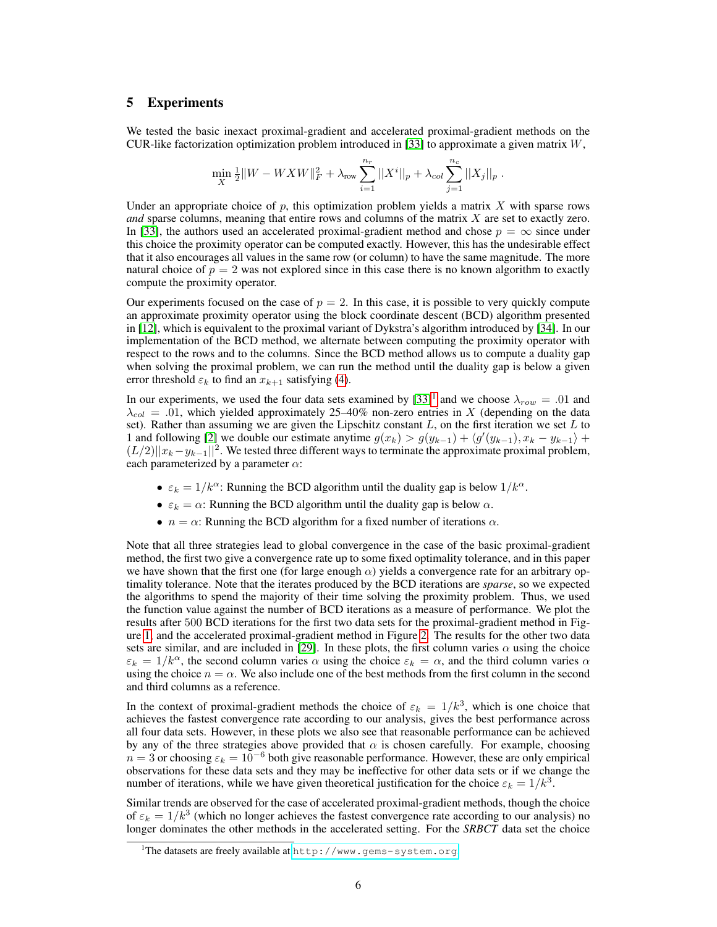# 5 Experiments

We tested the basic inexact proximal-gradient and accelerated proximal-gradient methods on the CUR-like factorization optimization problem introduced in [33] to approximate a given matrix  $W$ ,

$$
\min_{X} \frac{1}{2} ||W - W X W||_F^2 + \lambda_{\text{row}} \sum_{i=1}^{n_r} ||X^i||_p + \lambda_{col} \sum_{j=1}^{n_c} ||X_j||_p.
$$

Under an appropriate choice of  $p$ , this optimization problem yields a matrix  $X$  with sparse rows *and* sparse columns, meaning that entire rows and columns of the matrix X are set to exactly zero. In [33], the authors used an accelerated proximal-gradient method and chose  $p = \infty$  since under this choice the proximity operator can be computed exactly. However, this has the undesirable effect that it also encourages all values in the same row (or column) to have the same magnitude. The more natural choice of  $p = 2$  was not explored since in this case there is no known algorithm to exactly compute the proximity operator.

Our experiments focused on the case of  $p = 2$ . In this case, it is possible to very quickly compute an approximate proximity operator using the block coordinate descent (BCD) algorithm presented in [12], which is equivalent to the proximal variant of Dykstra's algorithm introduced by [34]. In our implementation of the BCD method, we alternate between computing the proximity operator with respect to the rows and to the columns. Since the BCD method allows us to compute a duality gap when solving the proximal problem, we can run the method until the duality gap is below a given error threshold  $\varepsilon_k$  to find an  $x_{k+1}$  satisfying (4).

In our experiments, we used the four data sets examined by  $[33]$ <sup>1</sup> and we choose  $\lambda_{row} = .01$  and  $\lambda_{col} = .01$ , which yielded approximately 25–40% non-zero entries in X (depending on the data set). Rather than assuming we are given the Lipschitz constant  $L$ , on the first iteration we set  $L$  to 1 and following [2] we double our estimate anytime  $g(x_k) > g(y_{k-1}) + \langle g'(y_{k-1}), x_k - y_{k-1} \rangle +$  $(L/2)||x_k-y_{k-1}||^2$ . We tested three different ways to terminate the approximate proximal problem, each parameterized by a parameter  $\alpha$ :

- $\varepsilon_k = 1/k^{\alpha}$ : Running the BCD algorithm until the duality gap is below  $1/k^{\alpha}$ .
- $\varepsilon_k = \alpha$ : Running the BCD algorithm until the duality gap is below  $\alpha$ .
- $n = \alpha$ : Running the BCD algorithm for a fixed number of iterations  $\alpha$ .

Note that all three strategies lead to global convergence in the case of the basic proximal-gradient method, the first two give a convergence rate up to some fixed optimality tolerance, and in this paper we have shown that the first one (for large enough  $\alpha$ ) yields a convergence rate for an arbitrary optimality tolerance. Note that the iterates produced by the BCD iterations are *sparse*, so we expected the algorithms to spend the majority of their time solving the proximity problem. Thus, we used the function value against the number of BCD iterations as a measure of performance. We plot the results after 500 BCD iterations for the first two data sets for the proximal-gradient method in Figure 1, and the accelerated proximal-gradient method in Figure 2. The results for the other two data sets are similar, and are included in [29]. In these plots, the first column varies  $\alpha$  using the choice  $\varepsilon_k = 1/k^{\alpha}$ , the second column varies  $\alpha$  using the choice  $\varepsilon_k = \alpha$ , and the third column varies  $\alpha$ using the choice  $n = \alpha$ . We also include one of the best methods from the first column in the second and third columns as a reference.

In the context of proximal-gradient methods the choice of  $\varepsilon_k = 1/k^3$ , which is one choice that achieves the fastest convergence rate according to our analysis, gives the best performance across all four data sets. However, in these plots we also see that reasonable performance can be achieved by any of the three strategies above provided that  $\alpha$  is chosen carefully. For example, choosing  $n = 3$  or choosing  $\varepsilon_k = 10^{-6}$  both give reasonable performance. However, these are only empirical observations for these data sets and they may be ineffective for other data sets or if we change the number of iterations, while we have given theoretical justification for the choice  $\varepsilon_k = 1/k^3$ .

Similar trends are observed for the case of accelerated proximal-gradient methods, though the choice of  $\varepsilon_k = 1/k^3$  (which no longer achieves the fastest convergence rate according to our analysis) no longer dominates the other methods in the accelerated setting. For the *SRBCT* data set the choice

<sup>&</sup>lt;sup>1</sup>The datasets are freely available at <http://www.gems-system.org>.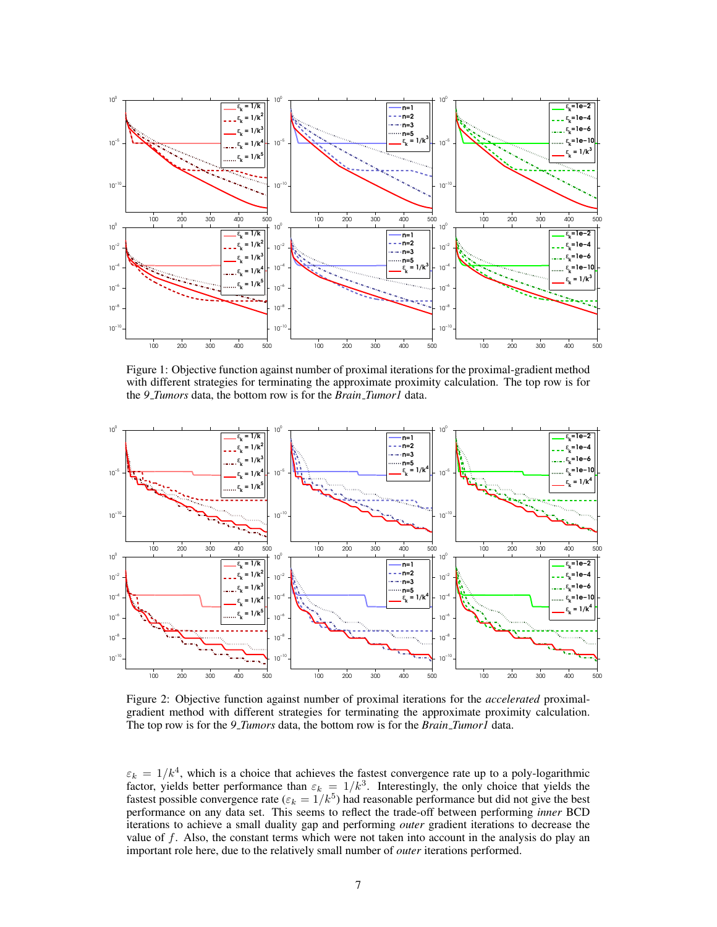

Figure 1: Objective function against number of proximal iterations for the proximal-gradient method with different strategies for terminating the approximate proximity calculation. The top row is for the *9 Tumors* data, the bottom row is for the *Brain Tumor1* data.



Figure 2: Objective function against number of proximal iterations for the *accelerated* proximalgradient method with different strategies for terminating the approximate proximity calculation. The top row is for the *9 Tumors* data, the bottom row is for the *Brain Tumor1* data.

 $\varepsilon_k = 1/k^4$ , which is a choice that achieves the fastest convergence rate up to a poly-logarithmic factor, yields better performance than  $\varepsilon_k = 1/k^3$ . Interestingly, the only choice that yields the fastest possible convergence rate ( $\varepsilon_k = 1/k^5$ ) had reasonable performance but did not give the best performance on any data set. This seems to reflect the trade-off between performing *inner* BCD iterations to achieve a small duality gap and performing *outer* gradient iterations to decrease the value of f. Also, the constant terms which were not taken into account in the analysis do play an important role here, due to the relatively small number of *outer* iterations performed.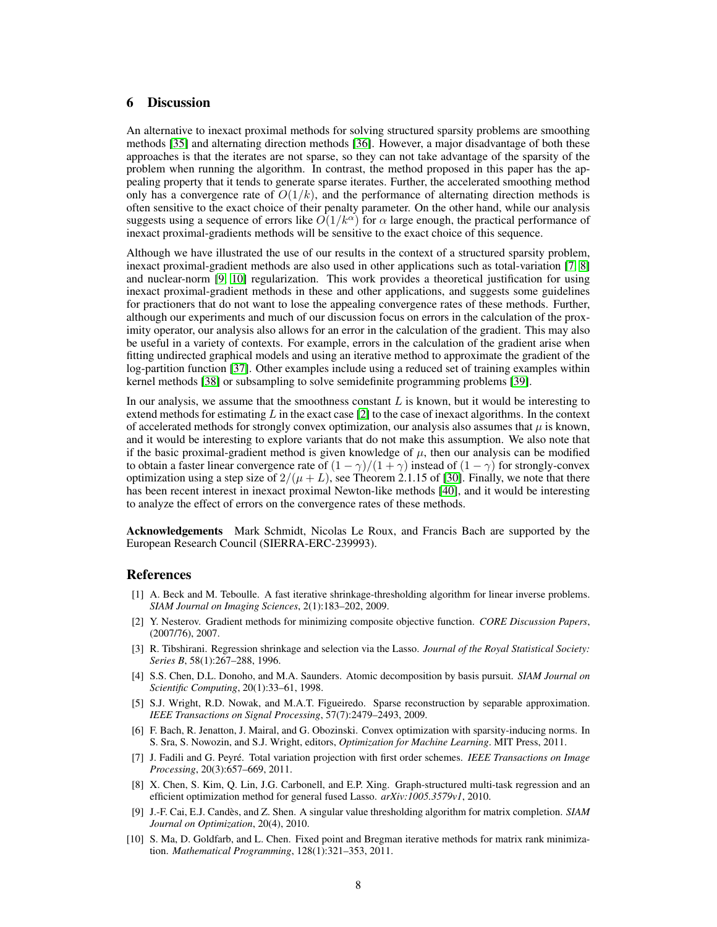# 6 Discussion

An alternative to inexact proximal methods for solving structured sparsity problems are smoothing methods [35] and alternating direction methods [36]. However, a major disadvantage of both these approaches is that the iterates are not sparse, so they can not take advantage of the sparsity of the problem when running the algorithm. In contrast, the method proposed in this paper has the appealing property that it tends to generate sparse iterates. Further, the accelerated smoothing method only has a convergence rate of  $O(1/k)$ , and the performance of alternating direction methods is often sensitive to the exact choice of their penalty parameter. On the other hand, while our analysis suggests using a sequence of errors like  $O(1/k^{\alpha})$  for  $\alpha$  large enough, the practical performance of inexact proximal-gradients methods will be sensitive to the exact choice of this sequence.

Although we have illustrated the use of our results in the context of a structured sparsity problem, inexact proximal-gradient methods are also used in other applications such as total-variation [7, 8] and nuclear-norm [9, 10] regularization. This work provides a theoretical justification for using inexact proximal-gradient methods in these and other applications, and suggests some guidelines for practioners that do not want to lose the appealing convergence rates of these methods. Further, although our experiments and much of our discussion focus on errors in the calculation of the proximity operator, our analysis also allows for an error in the calculation of the gradient. This may also be useful in a variety of contexts. For example, errors in the calculation of the gradient arise when fitting undirected graphical models and using an iterative method to approximate the gradient of the log-partition function [37]. Other examples include using a reduced set of training examples within kernel methods [38] or subsampling to solve semidefinite programming problems [39].

In our analysis, we assume that the smoothness constant  $L$  is known, but it would be interesting to extend methods for estimating L in the exact case  $[2]$  to the case of inexact algorithms. In the context of accelerated methods for strongly convex optimization, our analysis also assumes that  $\mu$  is known, and it would be interesting to explore variants that do not make this assumption. We also note that if the basic proximal-gradient method is given knowledge of  $\mu$ , then our analysis can be modified to obtain a faster linear convergence rate of  $(1 - \gamma)/(1 + \gamma)$  instead of  $(1 - \gamma)$  for strongly-convex optimization using a step size of  $2/(\mu + L)$ , see Theorem 2.1.15 of [30]. Finally, we note that there has been recent interest in inexact proximal Newton-like methods [40], and it would be interesting to analyze the effect of errors on the convergence rates of these methods.

Acknowledgements Mark Schmidt, Nicolas Le Roux, and Francis Bach are supported by the European Research Council (SIERRA-ERC-239993).

#### References

- [1] A. Beck and M. Teboulle. A fast iterative shrinkage-thresholding algorithm for linear inverse problems. *SIAM Journal on Imaging Sciences*, 2(1):183–202, 2009.
- [2] Y. Nesterov. Gradient methods for minimizing composite objective function. *CORE Discussion Papers*, (2007/76), 2007.
- [3] R. Tibshirani. Regression shrinkage and selection via the Lasso. *Journal of the Royal Statistical Society: Series B*, 58(1):267–288, 1996.
- [4] S.S. Chen, D.L. Donoho, and M.A. Saunders. Atomic decomposition by basis pursuit. *SIAM Journal on Scientific Computing*, 20(1):33–61, 1998.
- [5] S.J. Wright, R.D. Nowak, and M.A.T. Figueiredo. Sparse reconstruction by separable approximation. *IEEE Transactions on Signal Processing*, 57(7):2479–2493, 2009.
- [6] F. Bach, R. Jenatton, J. Mairal, and G. Obozinski. Convex optimization with sparsity-inducing norms. In S. Sra, S. Nowozin, and S.J. Wright, editors, *Optimization for Machine Learning*. MIT Press, 2011.
- [7] J. Fadili and G. Peyre. Total variation projection with first order schemes. ´ *IEEE Transactions on Image Processing*, 20(3):657–669, 2011.
- [8] X. Chen, S. Kim, Q. Lin, J.G. Carbonell, and E.P. Xing. Graph-structured multi-task regression and an efficient optimization method for general fused Lasso. *arXiv:1005.3579v1*, 2010.
- [9] J.-F. Cai, E.J. Candes, and Z. Shen. A singular value thresholding algorithm for matrix completion. ` *SIAM Journal on Optimization*, 20(4), 2010.
- [10] S. Ma, D. Goldfarb, and L. Chen. Fixed point and Bregman iterative methods for matrix rank minimization. *Mathematical Programming*, 128(1):321–353, 2011.